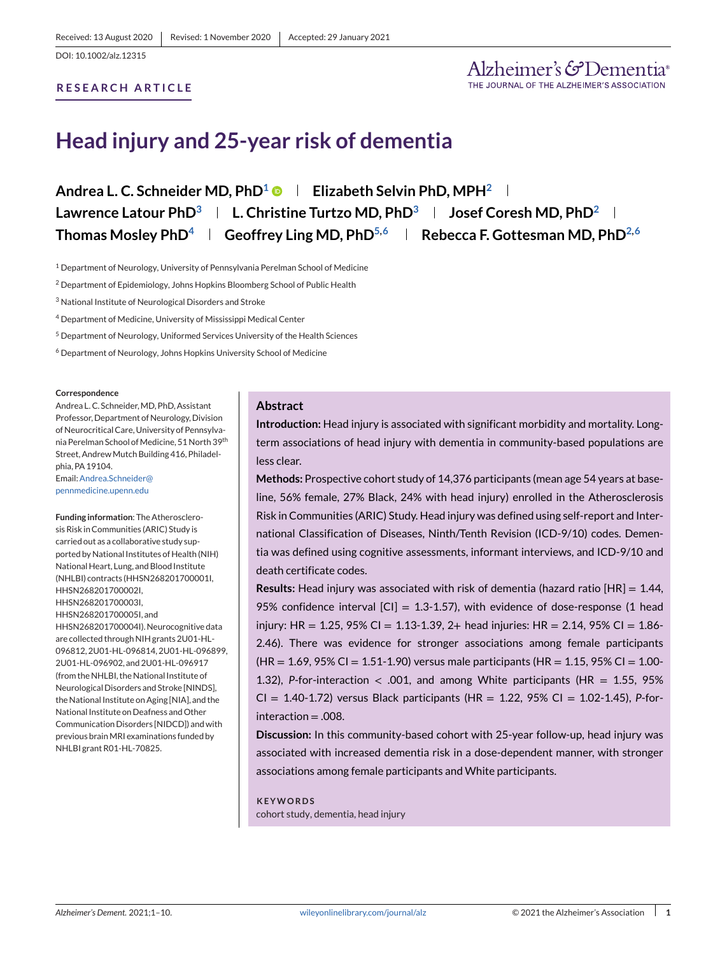## **RESEARCH ARTICLE**

# **Head injury and 25-year risk of dementia**

**Andrea L. C. Schneider MD, PhD1 Elizabeth Selvin PhD, MPH2 Lawrence Latour PhD3 L. Christine Turtzo MD, PhD3 Josef Coresh MD, PhD2** Thomas Mosley PhD<sup>4</sup> **Geoffrey Ling MD, PhD**<sup>5,6</sup> **Rebecca F. Gottesman MD, PhD**<sup>2,6</sup>

<sup>1</sup> Department of Neurology, University of Pennsylvania Perelman School of Medicine

<sup>2</sup> Department of Epidemiology, Johns Hopkins Bloomberg School of Public Health

<sup>3</sup> National Institute of Neurological Disorders and Stroke

<sup>4</sup> Department of Medicine, University of Mississippi Medical Center

<sup>5</sup> Department of Neurology, Uniformed Services University of the Health Sciences

<sup>6</sup> Department of Neurology, Johns Hopkins University School of Medicine

#### **Correspondence**

Andrea L. C. Schneider, MD, PhD, Assistant Professor, Department of Neurology, Division of Neurocritical Care, University of Pennsylvania Perelman School of Medicine, 51 North 39th Street, Andrew Mutch Building 416, Philadelphia, PA 19104.

Email[:Andrea.Schneider@](mailto:Andrea.Schneider@penalty -@M pennmedicine.upenn.edu) [pennmedicine.upenn.edu](mailto:Andrea.Schneider@penalty -@M pennmedicine.upenn.edu)

**Funding information**: The Atherosclerosis Risk in Communities (ARIC) Study is carried out as a collaborative study supported by National Institutes of Health (NIH) National Heart, Lung, and Blood Institute (NHLBI) contracts (HHSN268201700001I, HHSN268201700002I, HHSN268201700003I, HHSN268201700005I, and HHSN268201700004I). Neurocognitive data are collected through NIH grants 2U01-HL-096812, 2U01-HL-096814, 2U01-HL-096899, 2U01-HL-096902, and 2U01-HL-096917 (from the NHLBI, the National Institute of Neurological Disorders and Stroke [NINDS], the National Institute on Aging [NIA], and the National Institute on Deafness and Other Communication Disorders [NIDCD]) and with previous brainMRI examinations funded by NHLBI grant R01-HL-70825.

# **Abstract**

**Introduction:** Head injury is associated with significant morbidity and mortality. Longterm associations of head injury with dementia in community-based populations are less clear.

**Methods:** Prospective cohort study of 14,376 participants (mean age 54 years at baseline, 56% female, 27% Black, 24% with head injury) enrolled in the Atherosclerosis Risk in Communities (ARIC) Study. Head injury was defined using self-report and International Classification of Diseases, Ninth/Tenth Revision (ICD-9/10) codes. Dementia was defined using cognitive assessments, informant interviews, and ICD-9/10 and death certificate codes.

**Results:** Head injury was associated with risk of dementia (hazard ratio [HR] = 1.44, 95% confidence interval  $|CI| = 1.3{\text -}1.57$ ), with evidence of dose-response (1 head injury: HR = 1.25, 95% CI = 1.13-1.39, 2+ head injuries: HR = 2.14, 95% CI = 1.86-2.46). There was evidence for stronger associations among female participants  $(HR = 1.69, 95\% \text{ CI} = 1.51 \cdot 1.90)$  versus male participants (HR = 1.15, 95% CI = 1.00-1.32), *P*-for-interaction < .001, and among White participants (HR = 1.55, 95% CI = 1.40-1.72) versus Black participants (HR = 1.22, 95% CI = 1.02-1.45), *P*-forinteraction = .008.

**Discussion:** In this community-based cohort with 25-year follow-up, head injury was associated with increased dementia risk in a dose-dependent manner, with stronger associations among female participants and White participants.

#### **KEYWORDS**

cohort study, dementia, head injury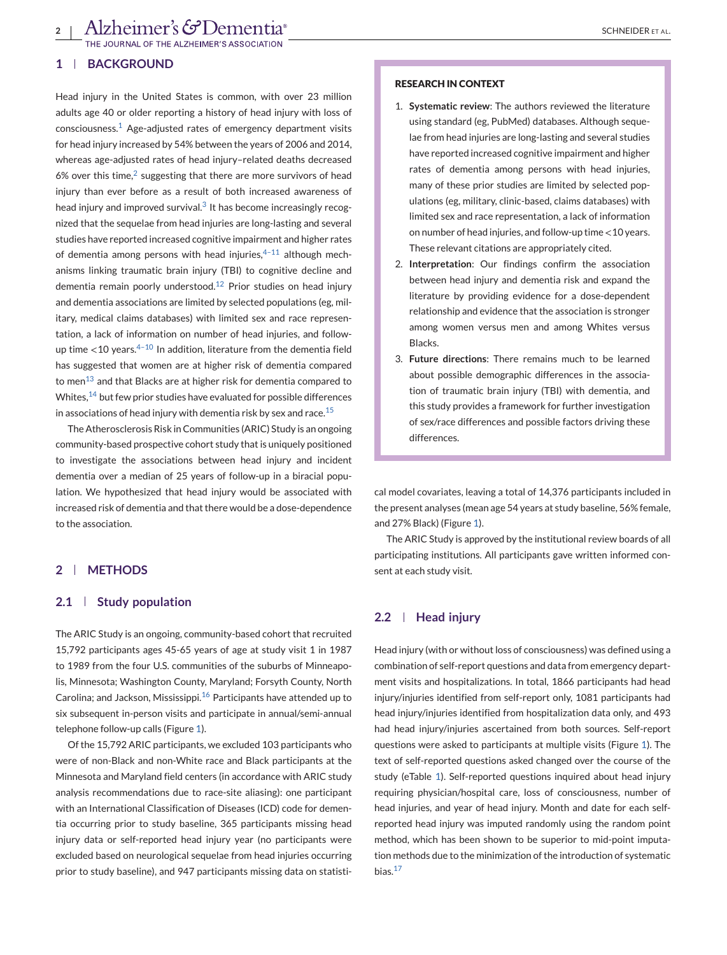NAL OF THE ALZHEIMER'S ASSOCIATION

## **1 BACKGROUND**

Head injury in the United States is common, with over 23 million adults age 40 or older reporting a history of head injury with loss of consciousness.[1](#page-8-0) Age-adjusted rates of emergency department visits for head injury increased by 54% between the years of 2006 and 2014, whereas age-adjusted rates of head injury–related deaths decreased 6% over this time, $2$  suggesting that there are more survivors of head injury than ever before as a result of both increased awareness of head injury and improved survival. $3$  It has become increasingly recognized that the sequelae from head injuries are long-lasting and several studies have reported increased cognitive impairment and higher rates of dementia among persons with head injuries, $4-11$  although mechanisms linking traumatic brain injury (TBI) to cognitive decline and dementia remain poorly understood.<sup>[12](#page-8-0)</sup> Prior studies on head injury and dementia associations are limited by selected populations (eg, military, medical claims databases) with limited sex and race representation, a lack of information on number of head injuries, and followup time  $\lt 10$  years.<sup>4-10</sup> In addition, literature from the dementia field has suggested that women are at higher risk of dementia compared to men $^{13}$  and that Blacks are at higher risk for dementia compared to Whites, $14$  but few prior studies have evaluated for possible differences in associations of head injury with dementia risk by sex and race.<sup>[15](#page-8-0)</sup>

The Atherosclerosis Risk in Communities (ARIC) Study is an ongoing community-based prospective cohort study that is uniquely positioned to investigate the associations between head injury and incident dementia over a median of 25 years of follow-up in a biracial population. We hypothesized that head injury would be associated with increased risk of dementia and that there would be a dose-dependence to the association.

# **2 METHODS**

## **2.1 Study population**

The ARIC Study is an ongoing, community-based cohort that recruited 15,792 participants ages 45-65 years of age at study visit 1 in 1987 to 1989 from the four U.S. communities of the suburbs of Minneapolis, Minnesota; Washington County, Maryland; Forsyth County, North Carolina; and Jackson, Mississippi.<sup>[16](#page-8-0)</sup> Participants have attended up to six subsequent in-person visits and participate in annual/semi-annual telephone follow-up calls (Figure [1\)](#page-2-0).

Of the 15,792 ARIC participants, we excluded 103 participants who were of non-Black and non-White race and Black participants at the Minnesota and Maryland field centers (in accordance with ARIC study analysis recommendations due to race-site aliasing): one participant with an International Classification of Diseases (ICD) code for dementia occurring prior to study baseline, 365 participants missing head injury data or self-reported head injury year (no participants were excluded based on neurological sequelae from head injuries occurring prior to study baseline), and 947 participants missing data on statisti-

### **RESEARCH IN CONTEXT**

- 1. **Systematic review**: The authors reviewed the literature using standard (eg, PubMed) databases. Although sequelae from head injuries are long-lasting and several studies have reported increased cognitive impairment and higher rates of dementia among persons with head injuries, many of these prior studies are limited by selected populations (eg, military, clinic-based, claims databases) with limited sex and race representation, a lack of information on number of head injuries, and follow-up time <10 years. These relevant citations are appropriately cited.
- 2. **Interpretation**: Our findings confirm the association between head injury and dementia risk and expand the literature by providing evidence for a dose-dependent relationship and evidence that the association is stronger among women versus men and among Whites versus Blacks.
- 3. **Future directions**: There remains much to be learned about possible demographic differences in the association of traumatic brain injury (TBI) with dementia, and this study provides a framework for further investigation of sex/race differences and possible factors driving these differences.

cal model covariates, leaving a total of 14,376 participants included in the present analyses (mean age 54 years at study baseline, 56% female, and 27% Black) (Figure [1\)](#page-2-0).

The ARIC Study is approved by the institutional review boards of all participating institutions. All participants gave written informed consent at each study visit.

# **2.2 Head injury**

Head injury (with or without loss of consciousness) was defined using a combination of self-report questions and data from emergency department visits and hospitalizations. In total, 1866 participants had head injury/injuries identified from self-report only, 1081 participants had head injury/injuries identified from hospitalization data only, and 493 had head injury/injuries ascertained from both sources. Self-report questions were asked to participants at multiple visits (Figure [1\)](#page-2-0). The text of self-reported questions asked changed over the course of the study (eTable 1). Self-reported questions inquired about head injury requiring physician/hospital care, loss of consciousness, number of head injuries, and year of head injury. Month and date for each selfreported head injury was imputed randomly using the random point method, which has been shown to be superior to mid-point imputation methods due to the minimization of the introduction of systematic bias. $17$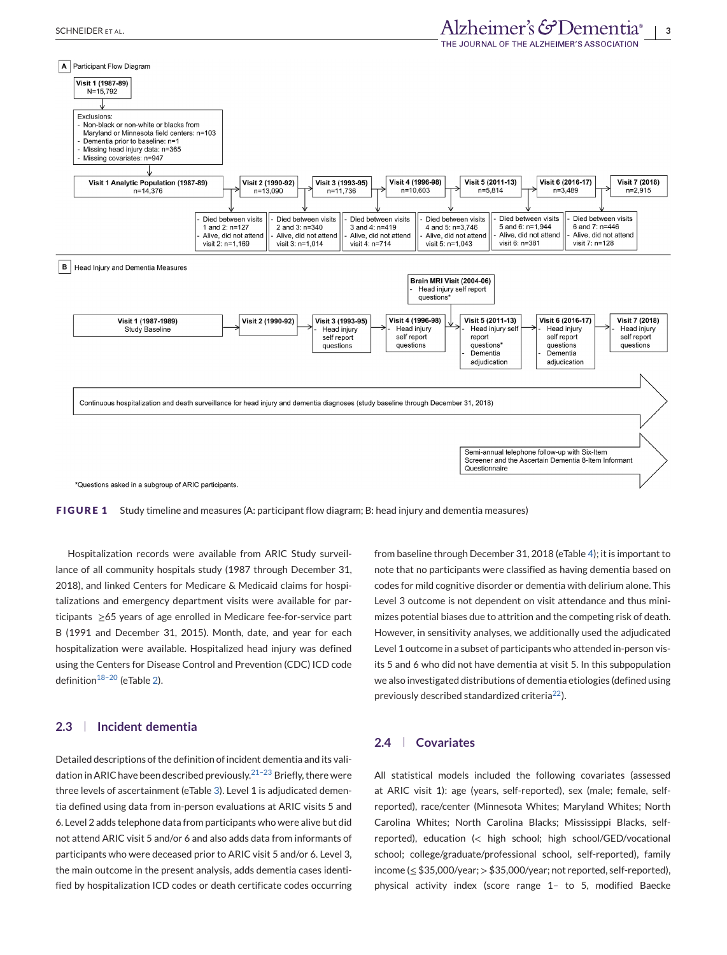<span id="page-2-0"></span>

**FIGURE 1** Study timeline and measures (A: participant flow diagram; B: head injury and dementia measures)

Hospitalization records were available from ARIC Study surveillance of all community hospitals study (1987 through December 31, 2018), and linked Centers for Medicare & Medicaid claims for hospitalizations and emergency department visits were available for participants ≥65 years of age enrolled in Medicare fee-for-service part B (1991 and December 31, 2015). Month, date, and year for each hospitalization were available. Hospitalized head injury was defined using the Centers for Disease Control and Prevention (CDC) ICD code definition $18-20$  (eTable 2).

## **2.3 Incident dementia**

Detailed descriptions of the definition of incident dementia and its validation in ARIC have been described previously.<sup>21-23</sup> Briefly, there were three levels of ascertainment (eTable 3). Level 1 is adjudicated dementia defined using data from in-person evaluations at ARIC visits 5 and 6. Level 2 adds telephone data from participants who were alive but did not attend ARIC visit 5 and/or 6 and also adds data from informants of participants who were deceased prior to ARIC visit 5 and/or 6. Level 3, the main outcome in the present analysis, adds dementia cases identified by hospitalization ICD codes or death certificate codes occurring

from baseline through December 31, 2018 (eTable 4); it is important to note that no participants were classified as having dementia based on codes for mild cognitive disorder or dementia with delirium alone. This Level 3 outcome is not dependent on visit attendance and thus minimizes potential biases due to attrition and the competing risk of death. However, in sensitivity analyses, we additionally used the adjudicated Level 1 outcome in a subset of participants who attended in-person visits 5 and 6 who did not have dementia at visit 5. In this subpopulation we also investigated distributions of dementia etiologies (defined using previously described standardized criteria<sup>22</sup>).

## **2.4 Covariates**

All statistical models included the following covariates (assessed at ARIC visit 1): age (years, self-reported), sex (male; female, selfreported), race/center (Minnesota Whites; Maryland Whites; North Carolina Whites; North Carolina Blacks; Mississippi Blacks, selfreported), education (< high school; high school/GED/vocational school; college/graduate/professional school, self-reported), family income (≤ \$35,000/year; > \$35,000/year; not reported, self-reported), physical activity index (score range 1– to 5, modified Baecke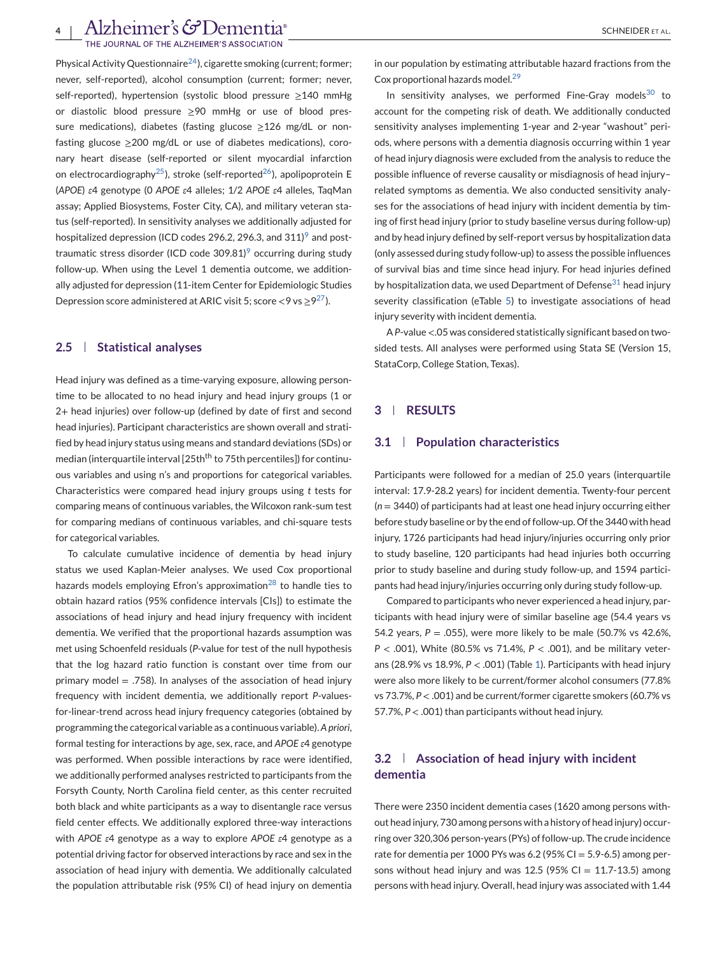# Alzheimer's GDementia<sup>®</sup>

THE JOURNAL OF THE ALZHEIMER'S ASSOCIATION

Physical Activity Questionnaire<sup>24</sup>), cigarette smoking (current; former; never, self-reported), alcohol consumption (current; former; never, self-reported), hypertension (systolic blood pressure ≥140 mmHg or diastolic blood pressure ≥90 mmHg or use of blood pressure medications), diabetes (fasting glucose ≥126 mg/dL or nonfasting glucose ≥200 mg/dL or use of diabetes medications), coronary heart disease (self-reported or silent myocardial infarction on electrocardiography<sup>25</sup>), stroke (self-reported<sup>26</sup>), apolipoprotein E (*APOE*) *ε*4 genotype (0 *APOE ε*4 alleles; 1/2 *APOE ε*4 alleles, TaqMan assay; Applied Biosystems, Foster City, CA), and military veteran status (self-reported). In sensitivity analyses we additionally adjusted for hospitalized depression (ICD codes 2[9](#page-8-0)6.2, 296.3, and 311)<sup>9</sup> and posttraumatic stress disorder (ICD code  $309.81$  $309.81$  $309.81$ <sup>9</sup> occurring during study follow-up. When using the Level 1 dementia outcome, we additionally adjusted for depression (11-item Center for Epidemiologic Studies Depression score administered at ARIC visit 5; score <9 vs  $\geq$ 9<sup>27</sup>).

## **2.5 Statistical analyses**

Head injury was defined as a time-varying exposure, allowing persontime to be allocated to no head injury and head injury groups (1 or 2+ head injuries) over follow-up (defined by date of first and second head injuries). Participant characteristics are shown overall and stratified by head injury status using means and standard deviations (SDs) or median (interquartile interval [25th<sup>th</sup> to 75th percentiles]) for continuous variables and using n's and proportions for categorical variables. Characteristics were compared head injury groups using *t* tests for comparing means of continuous variables, the Wilcoxon rank-sum test for comparing medians of continuous variables, and chi-square tests for categorical variables.

To calculate cumulative incidence of dementia by head injury status we used Kaplan-Meier analyses. We used Cox proportional hazards models employing Efron's approximation<sup>[28](#page-9-0)</sup> to handle ties to obtain hazard ratios (95% confidence intervals [CIs]) to estimate the associations of head injury and head injury frequency with incident dementia. We verified that the proportional hazards assumption was met using Schoenfeld residuals (*P*-value for test of the null hypothesis that the log hazard ratio function is constant over time from our primary model  $= .758$ ). In analyses of the association of head injury frequency with incident dementia, we additionally report *P*-valuesfor-linear-trend across head injury frequency categories (obtained by programming the categorical variable as a continuous variable). *A priori*, formal testing for interactions by age, sex, race, and *APOE ε*4 genotype was performed. When possible interactions by race were identified, we additionally performed analyses restricted to participants from the Forsyth County, North Carolina field center, as this center recruited both black and white participants as a way to disentangle race versus field center effects. We additionally explored three-way interactions with *APOE ε*4 genotype as a way to explore *APOE ε*4 genotype as a potential driving factor for observed interactions by race and sex in the association of head injury with dementia. We additionally calculated the population attributable risk (95% CI) of head injury on dementia

in our population by estimating attributable hazard fractions from the Cox proportional hazards model.[29](#page-9-0)

In sensitivity analyses, we performed Fine-Gray models $30$  to account for the competing risk of death. We additionally conducted sensitivity analyses implementing 1-year and 2-year "washout" periods, where persons with a dementia diagnosis occurring within 1 year of head injury diagnosis were excluded from the analysis to reduce the possible influence of reverse causality or misdiagnosis of head injury– related symptoms as dementia. We also conducted sensitivity analyses for the associations of head injury with incident dementia by timing of first head injury (prior to study baseline versus during follow-up) and by head injury defined by self-report versus by hospitalization data (only assessed during study follow-up) to assess the possible influences of survival bias and time since head injury. For head injuries defined by hospitalization data, we used Department of Defense $31$  head injury severity classification (eTable 5) to investigate associations of head injury severity with incident dementia.

A*P*-value <.05 was considered statistically significant based on twosided tests. All analyses were performed using Stata SE (Version 15, StataCorp, College Station, Texas).

# **3 RESULTS**

## **3.1 Population characteristics**

Participants were followed for a median of 25.0 years (interquartile interval: 17.9-28.2 years) for incident dementia. Twenty-four percent (*n* = 3440) of participants had at least one head injury occurring either before study baseline or by the end of follow-up. Of the 3440 with head injury, 1726 participants had head injury/injuries occurring only prior to study baseline, 120 participants had head injuries both occurring prior to study baseline and during study follow-up, and 1594 participants had head injury/injuries occurring only during study follow-up.

Compared to participants who never experienced a head injury, participants with head injury were of similar baseline age (54.4 years vs 54.2 years,  $P = 0.055$ ), were more likely to be male (50.7% vs 42.6%, *P* < .001), White (80.5% vs 71.4%, *P* < .001), and be military veterans (28.9% vs 18.9%, *P* < .001) (Table [1\)](#page-4-0). Participants with head injury were also more likely to be current/former alcohol consumers (77.8% vs 73.7%, *P* < .001) and be current/former cigarette smokers (60.7% vs 57.7%, *P* < .001) than participants without head injury.

# **3.2 Association of head injury with incident dementia**

There were 2350 incident dementia cases (1620 among persons without head injury, 730 among persons with a history of head injury) occurring over 320,306 person-years (PYs) of follow-up. The crude incidence rate for dementia per 1000 PYs was  $6.2$  (95% CI = 5.9-6.5) among persons without head injury and was 12.5 (95% CI = 11.7-13.5) among persons with head injury. Overall, head injury was associated with 1.44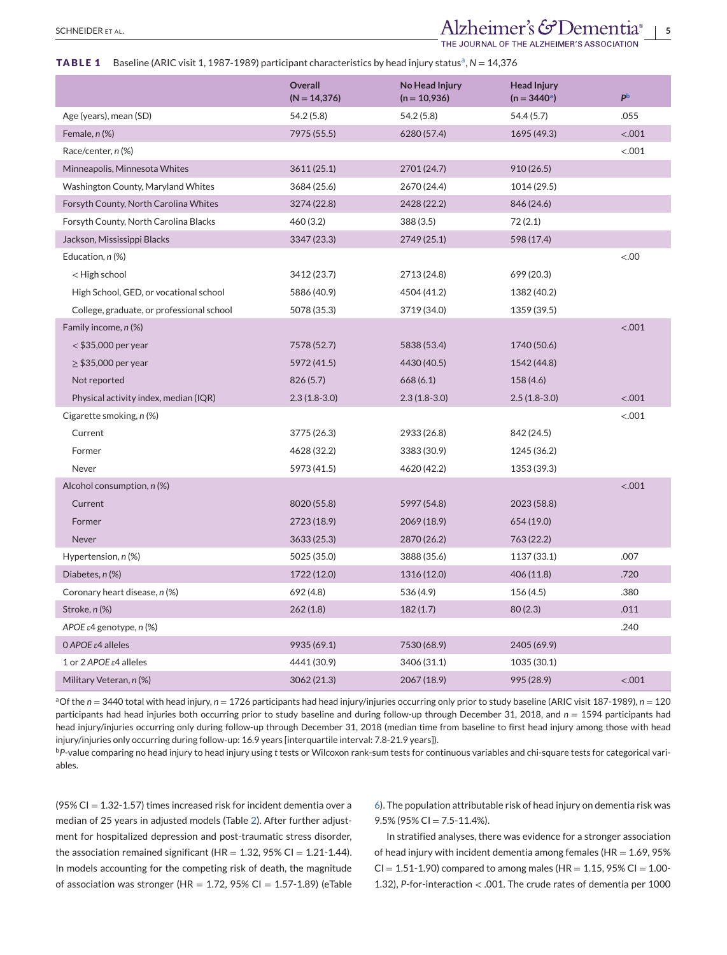# <span id="page-4-0"></span>SCHNEIDER ET AL. **SCHNEIDER ET AL. 5**

THE JOURNAL OF THE ALZHEIMER'S ASSOCIATION

### **TABLE 1** Baseline (ARIC visit 1, 1987-1989) participant characteristics by head injury status<sup>a</sup>, N = 14,376

|                                           | <b>Overall</b><br>$(N = 14, 376)$ | No Head Injury<br>$(n = 10,936)$ | <b>Head Injury</b><br>$(n = 3440^a)$ | P <sub>b</sub> |
|-------------------------------------------|-----------------------------------|----------------------------------|--------------------------------------|----------------|
| Age (years), mean (SD)                    | 54.2(5.8)                         | 54.2 (5.8)                       | 54.4(5.7)                            | .055           |
| Female, $n$ (%)                           | 7975 (55.5)                       | 6280 (57.4)                      | 1695 (49.3)                          | < .001         |
| Race/center, n (%)                        |                                   |                                  |                                      | < .001         |
| Minneapolis, Minnesota Whites             | 3611(25.1)                        | 2701 (24.7)                      | 910(26.5)                            |                |
| Washington County, Maryland Whites        | 3684 (25.6)                       | 2670 (24.4)                      | 1014 (29.5)                          |                |
| Forsyth County, North Carolina Whites     | 3274 (22.8)                       | 2428 (22.2)                      | 846 (24.6)                           |                |
| Forsyth County, North Carolina Blacks     | 460(3.2)                          | 388 (3.5)                        | 72(2.1)                              |                |
| Jackson, Mississippi Blacks               | 3347 (23.3)                       | 2749 (25.1)                      | 598 (17.4)                           |                |
| Education, n (%)                          |                                   |                                  |                                      | &00.5          |
| < High school                             | 3412 (23.7)                       | 2713 (24.8)                      | 699 (20.3)                           |                |
| High School, GED, or vocational school    | 5886 (40.9)                       | 4504 (41.2)                      | 1382 (40.2)                          |                |
| College, graduate, or professional school | 5078 (35.3)                       | 3719 (34.0)                      | 1359 (39.5)                          |                |
| Family income, n (%)                      |                                   |                                  |                                      | < .001         |
| $<$ \$35,000 per year                     | 7578 (52.7)                       | 5838 (53.4)                      | 1740 (50.6)                          |                |
| $\geq$ \$35,000 per year                  | 5972 (41.5)                       | 4430 (40.5)                      | 1542 (44.8)                          |                |
| Not reported                              | 826(5.7)                          | 668 (6.1)                        | 158(4.6)                             |                |
| Physical activity index, median (IQR)     | $2.3(1.8-3.0)$                    | $2.3(1.8-3.0)$                   | $2.5(1.8-3.0)$                       | < .001         |
| Cigarette smoking, n (%)                  |                                   |                                  |                                      | < .001         |
| Current                                   | 3775 (26.3)                       | 2933 (26.8)                      | 842 (24.5)                           |                |
| Former                                    | 4628 (32.2)                       | 3383 (30.9)                      | 1245 (36.2)                          |                |
| Never                                     | 5973 (41.5)                       | 4620 (42.2)                      | 1353 (39.3)                          |                |
| Alcohol consumption, n (%)                |                                   |                                  |                                      | < .001         |
| Current                                   | 8020 (55.8)                       | 5997 (54.8)                      | 2023 (58.8)                          |                |
| Former                                    | 2723 (18.9)                       | 2069 (18.9)                      | 654 (19.0)                           |                |
| <b>Never</b>                              | 3633(25.3)                        | 2870 (26.2)                      | 763 (22.2)                           |                |
| Hypertension, $n$ (%)                     | 5025 (35.0)                       | 3888 (35.6)                      | 1137 (33.1)                          | .007           |
| Diabetes, n (%)                           | 1722 (12.0)                       | 1316 (12.0)                      | 406 (11.8)                           | .720           |
| Coronary heart disease, n (%)             | 692 (4.8)                         | 536 (4.9)                        | 156(4.5)                             | .380           |
| Stroke, n (%)                             | 262(1.8)                          | 182(1.7)                         | 80(2.3)                              | .011           |
| APOE $\varepsilon$ 4 genotype, n (%)      |                                   |                                  |                                      | .240           |
| 0 APOE ε4 alleles                         | 9935 (69.1)                       | 7530 (68.9)                      | 2405 (69.9)                          |                |
| 1 or 2 APOE $\varepsilon$ 4 alleles       | 4441 (30.9)                       | 3406 (31.1)                      | 1035 (30.1)                          |                |
| Military Veteran, n (%)                   | 3062(21.3)                        | 2067 (18.9)                      | 995 (28.9)                           | < .001         |

aOf the *n* = 3440 total with head injury, *n* = 1726 participants had head injury/injuries occurring only prior to study baseline (ARIC visit 187-1989), *n* = 120 participants had head injuries both occurring prior to study baseline and during follow-up through December 31, 2018, and *n* = 1594 participants had head injury/injuries occurring only during follow-up through December 31, 2018 (median time from baseline to first head injury among those with head injury/injuries only occurring during follow-up: 16.9 years [interquartile interval: 7.8-21.9 years]).

<sup>b</sup>*P*-value comparing no head injury to head injury using *t* tests or Wilcoxon rank-sum tests for continuous variables and chi-square tests for categorical variables.

(95% CI =  $1.32 - 1.57$ ) times increased risk for incident dementia over a median of 25 years in adjusted models (Table [2\)](#page-5-0). After further adjustment for hospitalized depression and post-traumatic stress disorder, the association remained significant (HR =  $1.32$ ,  $95\%$  CI =  $1.21-1.44$ ). In models accounting for the competing risk of death, the magnitude of association was stronger (HR =  $1.72$ ,  $95\%$  CI =  $1.57-1.89$ ) (eTable 6). The population attributable risk of head injury on dementia risk was  $9.5\%$  (95% CI = 7.5-11.4%).

In stratified analyses, there was evidence for a stronger association of head injury with incident dementia among females ( $HR = 1.69, 95\%$  $CI = 1.51 - 1.90$ ) compared to among males (HR = 1.15, 95%  $CI = 1.00 - 1.00$ 1.32), *P*-for-interaction < .001. The crude rates of dementia per 1000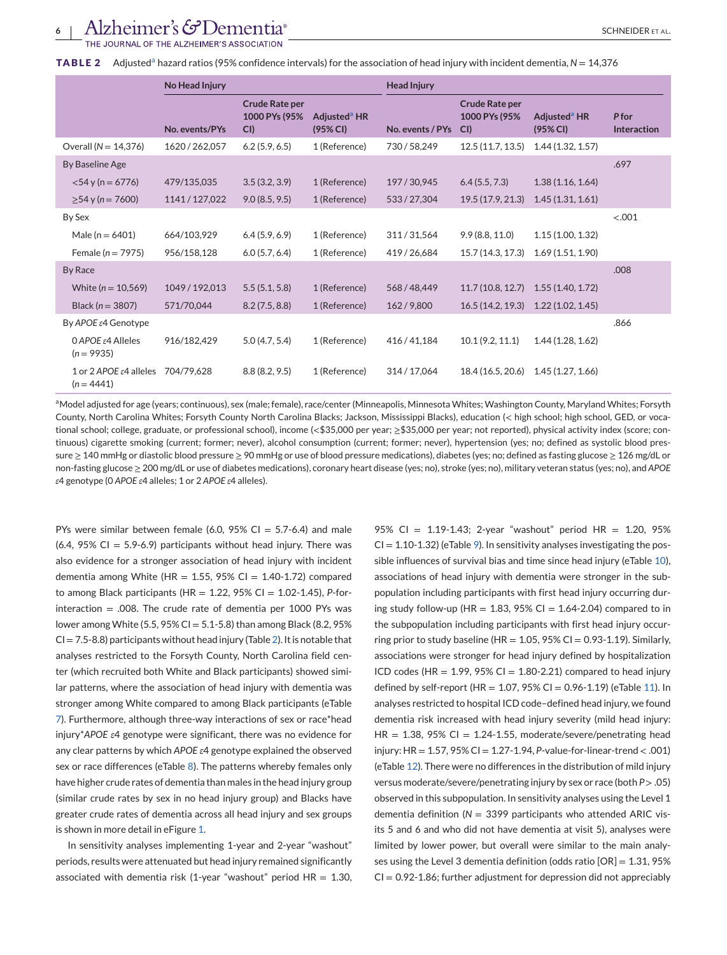<span id="page-5-0"></span>JOURNAL OF THE ALZHEIMER'S ASSOCIATION

|                                                     | No Head Injury |                                              | <b>Head Injury</b>                   |                  |                                              |                                      |                             |
|-----------------------------------------------------|----------------|----------------------------------------------|--------------------------------------|------------------|----------------------------------------------|--------------------------------------|-----------------------------|
|                                                     | No. events/PYs | <b>Crude Rate per</b><br>1000 PYs (95%<br>CI | Adjusted <sup>a</sup> HR<br>(95% CI) | No. events / PYs | <b>Crude Rate per</b><br>1000 PYs (95%<br>CI | Adjusted <sup>a</sup> HR<br>(95% CI) | P for<br><b>Interaction</b> |
| Overall ( $N = 14,376$ )                            | 1620 / 262,057 | 6.2(5.9, 6.5)                                | 1 (Reference)                        | 730/58,249       | 12.5(11.7, 13.5)                             | 1.44(1.32, 1.57)                     |                             |
| By Baseline Age                                     |                |                                              |                                      |                  |                                              |                                      | .697                        |
| $<$ 54 y (n = 6776)                                 | 479/135,035    | 3.5(3.2, 3.9)                                | 1 (Reference)                        | 197/30.945       | 6.4(5.5, 7.3)                                | 1.38(1.16, 1.64)                     |                             |
| $\geq$ 54 y (n = 7600)                              | 1141/127,022   | 9.0(8.5, 9.5)                                | 1 (Reference)                        | 533/27,304       | 19.5(17.9, 21.3)                             | 1.45(1.31, 1.61)                     |                             |
| By Sex                                              |                |                                              |                                      |                  |                                              |                                      | < .001                      |
| Male ( $n = 6401$ )                                 | 664/103,929    | 6.4(5.9, 6.9)                                | 1 (Reference)                        | 311/31,564       | 9.9(8.8, 11.0)                               | 1.15(1.00, 1.32)                     |                             |
| Female ( $n = 7975$ )                               | 956/158,128    | 6.0(5.7, 6.4)                                | 1 (Reference)                        | 419/26,684       | 15.7 (14.3, 17.3)                            | 1.69(1.51, 1.90)                     |                             |
| By Race                                             |                |                                              |                                      |                  |                                              |                                      | .008                        |
| White $(n = 10, 569)$                               | 1049 / 192,013 | 5.5(5.1, 5.8)                                | 1 (Reference)                        | 568/48,449       | 11.7(10.8, 12.7)                             | 1.55(1.40, 1.72)                     |                             |
| Black ( $n = 3807$ )                                | 571/70,044     | 8.2(7.5, 8.8)                                | 1 (Reference)                        | 162/9,800        | 16.5(14.2, 19.3)                             | 1.22(1.02, 1.45)                     |                             |
| By APOE ε4 Genotype                                 |                |                                              |                                      |                  |                                              |                                      | .866                        |
| $0$ APOE $\varepsilon$ 4 Alleles<br>$(n = 9935)$    | 916/182.429    | 5.0(4.7, 5.4)                                | 1 (Reference)                        | 416/41.184       | 10.1(9.2, 11.1)                              | 1.44(1.28, 1.62)                     |                             |
| 1 or 2 APOE $\varepsilon$ 4 alleles<br>$(n = 4441)$ | 704/79,628     | 8.8(8.2, 9.5)                                | 1 (Reference)                        | 314/17,064       | 18.4 (16.5, 20.6)                            | 1.45(1.27, 1.66)                     |                             |

aModel adjusted for age (years; continuous), sex (male; female), race/center (Minneapolis, Minnesota Whites; Washington County, Maryland Whites; Forsyth County, North Carolina Whites; Forsyth County North Carolina Blacks; Jackson, Mississippi Blacks), education (< high school; high school, GED, or vocational school; college, graduate, or professional school), income (<\$35,000 per year; ≥\$35,000 per year; not reported), physical activity index (score; continuous) cigarette smoking (current; former; never), alcohol consumption (current; former; never), hypertension (yes; no; defined as systolic blood pressure ≥ 140 mmHg or diastolic blood pressure ≥ 90 mmHg or use of blood pressure medications), diabetes (yes; no; defined as fasting glucose ≥ 126 mg/dL or non-fasting glucose ≥ 200 mg/dL or use of diabetes medications), coronary heart disease (yes; no), stroke (yes; no), military veteran status (yes; no), and *APOE ε*4 genotype (0 *APOE ε*4 alleles; 1 or 2 *APOE ε*4 alleles).

PYs were similar between female (6.0, 95% CI =  $5.7-6.4$ ) and male  $(6.4, 95\% \text{ Cl} = 5.9\text{-}6.9)$  participants without head injury. There was also evidence for a stronger association of head injury with incident dementia among White (HR =  $1.55$ , 95% CI =  $1.40-1.72$ ) compared to among Black participants (HR = 1.22, 95% CI = 1.02-1.45), *P*-forinteraction  $= .008$ . The crude rate of dementia per 1000 PYs was lower among White (5.5, 95% CI =  $5.1-5.8$ ) than among Black (8.2, 95%  $CI = 7.5-8.8$ ) participants without head injury (Table 2). It is notable that analyses restricted to the Forsyth County, North Carolina field center (which recruited both White and Black participants) showed similar patterns, where the association of head injury with dementia was stronger among White compared to among Black participants (eTable 7). Furthermore, although three-way interactions of sex or race\*head injury\**APOE ε*4 genotype were significant, there was no evidence for any clear patterns by which *APOE ε*4 genotype explained the observed sex or race differences (eTable 8). The patterns whereby females only have higher crude rates of dementia than males in the head injury group (similar crude rates by sex in no head injury group) and Blacks have greater crude rates of dementia across all head injury and sex groups is shown in more detail in eFigure 1.

In sensitivity analyses implementing 1-year and 2-year "washout" periods, results were attenuated but head injury remained significantly associated with dementia risk (1-year "washout" period  $HR = 1.30$ ,

95% CI = 1.19-1.43; 2-year "washout" period HR = 1.20, 95%  $CI = 1.10 - 1.32$ ) (eTable 9). In sensitivity analyses investigating the possible influences of survival bias and time since head injury (eTable 10), associations of head injury with dementia were stronger in the subpopulation including participants with first head injury occurring during study follow-up (HR = 1.83, 95% CI = 1.64-2.04) compared to in the subpopulation including participants with first head injury occurring prior to study baseline (HR =  $1.05$ ,  $95\%$  CI = 0.93-1.19). Similarly, associations were stronger for head injury defined by hospitalization ICD codes (HR =  $1.99$ ,  $95\%$  CI =  $1.80-2.21$ ) compared to head injury defined by self-report (HR =  $1.07, 95\%$  CI =  $0.96-1.19$ ) (eTable 11). In analyses restricted to hospital ICD code–defined head injury, we found dementia risk increased with head injury severity (mild head injury:  $HR = 1.38$ , 95% CI = 1.24-1.55, moderate/severe/penetrating head injury: HR = 1.57, 95% CI = 1.27-1.94, *P*-value-for-linear-trend < .001) (eTable 12). There were no differences in the distribution of mild injury versus moderate/severe/penetrating injury by sex or race (both *P* > .05) observed in this subpopulation. In sensitivity analyses using the Level 1 dementia definition (*N* = 3399 participants who attended ARIC visits 5 and 6 and who did not have dementia at visit 5), analyses were limited by lower power, but overall were similar to the main analyses using the Level 3 dementia definition (odds ratio [OR] = 1.31, 95%  $CI = 0.92 - 1.86$ ; further adjustment for depression did not appreciably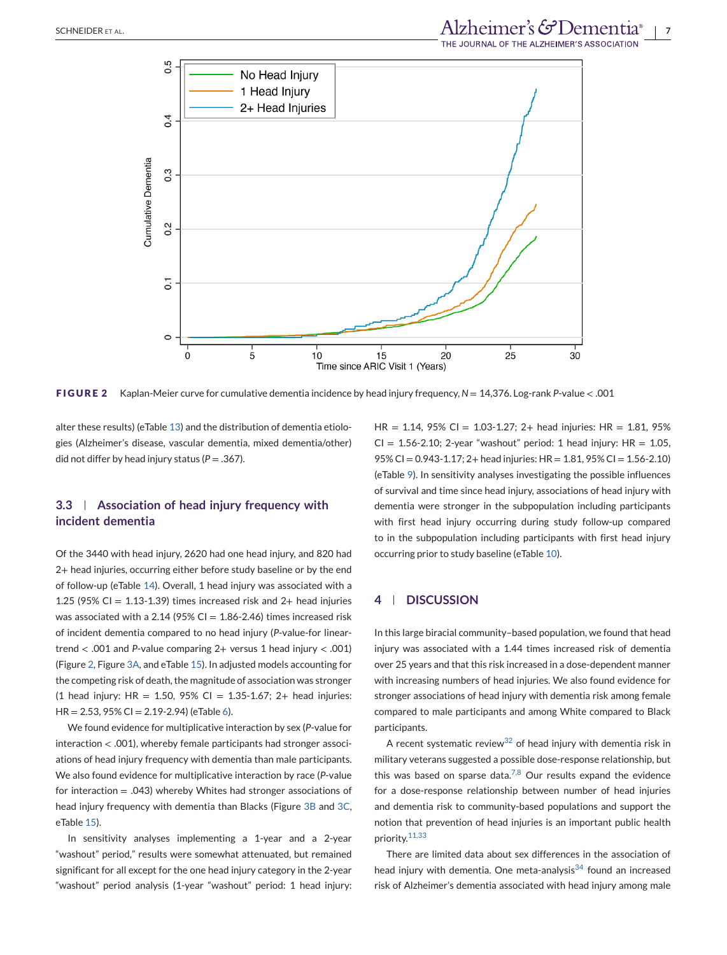

**FIGURE 2** Kaplan-Meier curve for cumulative dementia incidence by head injury frequency, *N* = 14,376. Log-rank *P*-value < .001

alter these results) (eTable 13) and the distribution of dementia etiologies (Alzheimer's disease, vascular dementia, mixed dementia/other) did not differ by head injury status ( $P = .367$ ).

# **3.3 Association of head injury frequency with incident dementia**

Of the 3440 with head injury, 2620 had one head injury, and 820 had 2+ head injuries, occurring either before study baseline or by the end of follow-up (eTable 14). Overall, 1 head injury was associated with a 1.25 (95% CI =  $1.13-1.39$ ) times increased risk and 2+ head injuries was associated with a 2.14 (95% CI =  $1.86 - 2.46$ ) times increased risk of incident dementia compared to no head injury (*P*-value-for lineartrend < .001 and *P*-value comparing 2+ versus 1 head injury < .001) (Figure 2, Figure [3A,](#page-7-0) and eTable 15). In adjusted models accounting for the competing risk of death, the magnitude of association was stronger  $(1 \text{ head injury: HR} = 1.50, 95\% \text{ CI} = 1.35 - 1.67; 2 + \text{ head injuries:}$ HR = 2.53, 95% CI = 2.19-2.94) (eTable 6).

We found evidence for multiplicative interaction by sex (*P*-value for interaction < .001), whereby female participants had stronger associations of head injury frequency with dementia than male participants. We also found evidence for multiplicative interaction by race (*P*-value for interaction = .043) whereby Whites had stronger associations of head injury frequency with dementia than Blacks (Figure [3B](#page-7-0) and [3C,](#page-7-0) eTable 15).

In sensitivity analyses implementing a 1-year and a 2-year "washout" period," results were somewhat attenuated, but remained significant for all except for the one head injury category in the 2-year "washout" period analysis (1-year "washout" period: 1 head injury:

 $HR = 1.14$ , 95% CI = 1.03-1.27; 2+ head injuries: HR = 1.81, 95%  $CI = 1.56 - 2.10$ ; 2-year "washout" period: 1 head injury: HR = 1.05, 95% CI = 0.943-1.17; 2+ head injuries: HR = 1.81, 95% CI = 1.56-2.10) (eTable 9). In sensitivity analyses investigating the possible influences of survival and time since head injury, associations of head injury with dementia were stronger in the subpopulation including participants with first head injury occurring during study follow-up compared to in the subpopulation including participants with first head injury occurring prior to study baseline (eTable 10).

## **4 DISCUSSION**

In this large biracial community–based population, we found that head injury was associated with a 1.44 times increased risk of dementia over 25 years and that this risk increased in a dose-dependent manner with increasing numbers of head injuries. We also found evidence for stronger associations of head injury with dementia risk among female compared to male participants and among White compared to Black participants.

A recent systematic review<sup>[32](#page-9-0)</sup> of head injury with dementia risk in military veterans suggested a possible dose-response relationship, but this was based on sparse data.<sup>[7,8](#page-8-0)</sup> Our results expand the evidence for a dose-response relationship between number of head injuries and dementia risk to community-based populations and support the notion that prevention of head injuries is an important public health priority.[11,33](#page-8-0)

There are limited data about sex differences in the association of head injury with dementia. One meta-analysis $34$  found an increased risk of Alzheimer's dementia associated with head injury among male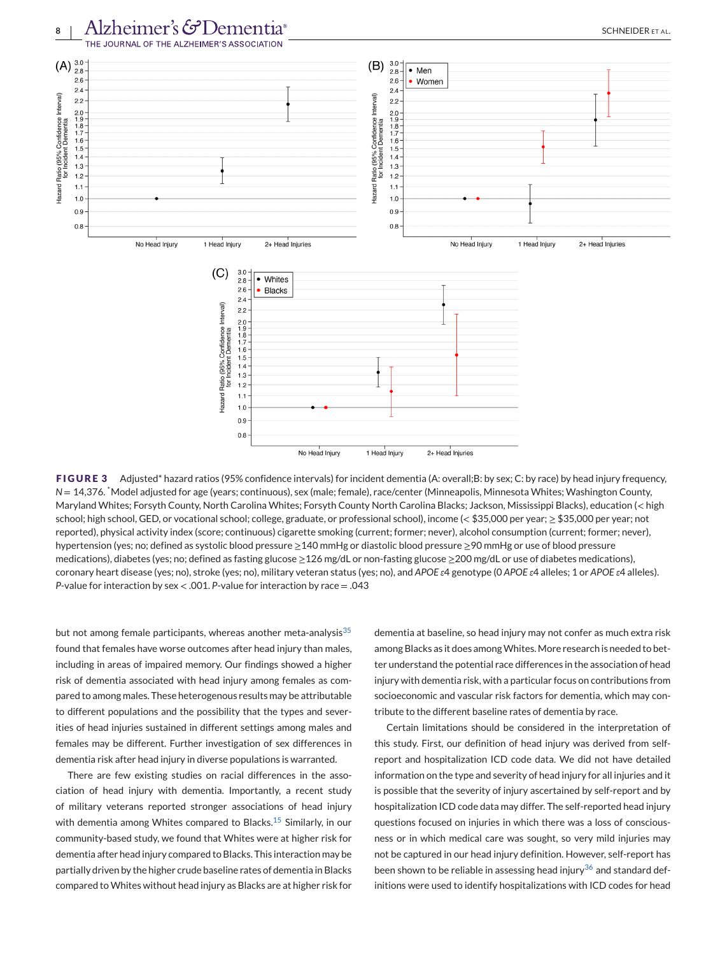<span id="page-7-0"></span>

**FIGURE 3** Adjusted\* hazard ratios (95% confidence intervals) for incident dementia (A: overall;B: by sex; C: by race) by head injury frequency, *N* = 14,376. \*Model adjusted for age (years; continuous), sex (male; female), race/center (Minneapolis, Minnesota Whites; Washington County, Maryland Whites; Forsyth County, North Carolina Whites; Forsyth County North Carolina Blacks; Jackson, Mississippi Blacks), education (< high school; high school, GED, or vocational school; college, graduate, or professional school), income (< \$35,000 per year; ≥ \$35,000 per year; not reported), physical activity index (score; continuous) cigarette smoking (current; former; never), alcohol consumption (current; former; never), hypertension (yes; no; defined as systolic blood pressure ≥140 mmHg or diastolic blood pressure ≥90 mmHg or use of blood pressure medications), diabetes (yes; no; defined as fasting glucose ≥126 mg/dL or non-fasting glucose ≥200 mg/dL or use of diabetes medications), coronary heart disease (yes; no), stroke (yes; no), military veteran status (yes; no), and *APOE ε*4 genotype (0 *APOE ε*4 alleles; 1 or *APOE ε*4 alleles). *P*-value for interaction by sex < .001. *P*-value for interaction by race = .043

but not among female participants, whereas another meta-analysis $35$ found that females have worse outcomes after head injury than males, including in areas of impaired memory. Our findings showed a higher risk of dementia associated with head injury among females as compared to among males. These heterogenous results may be attributable to different populations and the possibility that the types and severities of head injuries sustained in different settings among males and females may be different. Further investigation of sex differences in dementia risk after head injury in diverse populations is warranted.

There are few existing studies on racial differences in the association of head injury with dementia. Importantly, a recent study of military veterans reported stronger associations of head injury with dementia among Whites compared to Blacks.<sup>[15](#page-8-0)</sup> Similarly, in our community-based study, we found that Whites were at higher risk for dementia after head injury compared to Blacks. This interaction may be partially driven by the higher crude baseline rates of dementia in Blacks compared to Whites without head injury as Blacks are at higher risk for

dementia at baseline, so head injury may not confer as much extra risk among Blacks as it does among Whites. More research is needed to better understand the potential race differences in the association of head injury with dementia risk, with a particular focus on contributions from socioeconomic and vascular risk factors for dementia, which may contribute to the different baseline rates of dementia by race.

Certain limitations should be considered in the interpretation of this study. First, our definition of head injury was derived from selfreport and hospitalization ICD code data. We did not have detailed information on the type and severity of head injury for all injuries and it is possible that the severity of injury ascertained by self-report and by hospitalization ICD code data may differ. The self-reported head injury questions focused on injuries in which there was a loss of consciousness or in which medical care was sought, so very mild injuries may not be captured in our head injury definition. However, self-report has been shown to be reliable in assessing head injury<sup>[36](#page-9-0)</sup> and standard definitions were used to identify hospitalizations with ICD codes for head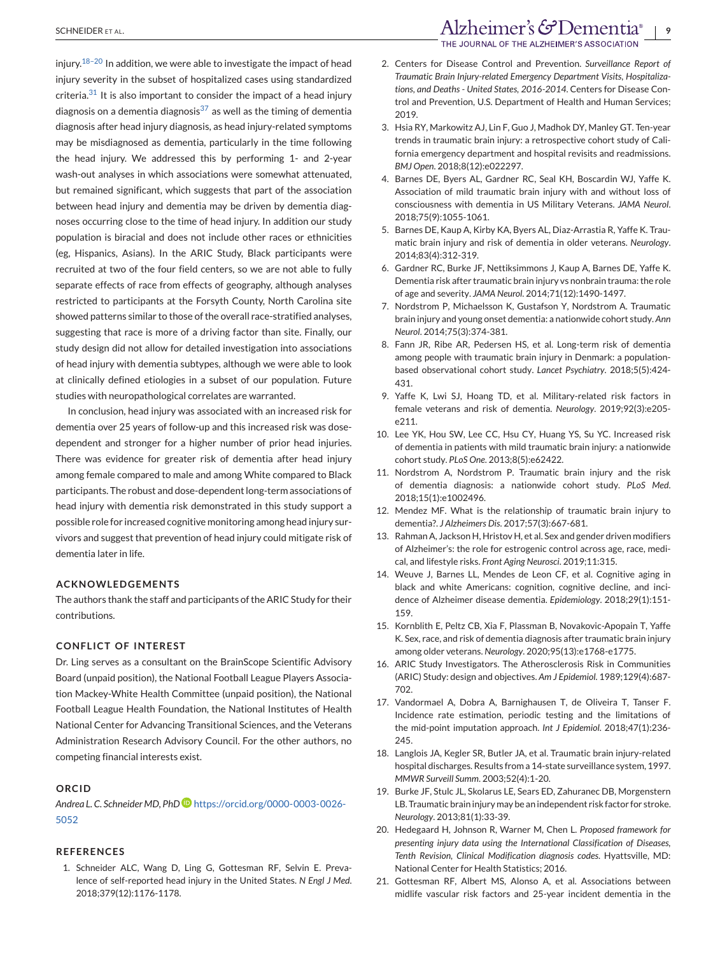<span id="page-8-0"></span>injury.<sup>18–20</sup> In addition, we were able to investigate the impact of head injury severity in the subset of hospitalized cases using standardized criteria. $31$  It is also important to consider the impact of a head injury diagnosis on a dementia diagnosis<sup>[37](#page-9-0)</sup> as well as the timing of dementia diagnosis after head injury diagnosis, as head injury-related symptoms may be misdiagnosed as dementia, particularly in the time following the head injury. We addressed this by performing 1- and 2-year wash-out analyses in which associations were somewhat attenuated, but remained significant, which suggests that part of the association between head injury and dementia may be driven by dementia diagnoses occurring close to the time of head injury. In addition our study population is biracial and does not include other races or ethnicities (eg, Hispanics, Asians). In the ARIC Study, Black participants were recruited at two of the four field centers, so we are not able to fully separate effects of race from effects of geography, although analyses restricted to participants at the Forsyth County, North Carolina site showed patterns similar to those of the overall race-stratified analyses, suggesting that race is more of a driving factor than site. Finally, our study design did not allow for detailed investigation into associations of head injury with dementia subtypes, although we were able to look at clinically defined etiologies in a subset of our population. Future studies with neuropathological correlates are warranted.

In conclusion, head injury was associated with an increased risk for dementia over 25 years of follow-up and this increased risk was dosedependent and stronger for a higher number of prior head injuries. There was evidence for greater risk of dementia after head injury among female compared to male and among White compared to Black participants. The robust and dose-dependent long-term associations of head injury with dementia risk demonstrated in this study support a possible role for increased cognitive monitoring among head injury survivors and suggest that prevention of head injury could mitigate risk of dementia later in life.

### **ACKNOWLEDGEMENTS**

The authors thank the staff and participants of the ARIC Study for their contributions.

#### **CONFLICT OF INTEREST**

Dr. Ling serves as a consultant on the BrainScope Scientific Advisory Board (unpaid position), the National Football League Players Association Mackey-White Health Committee (unpaid position), the National Football League Health Foundation, the National Institutes of Health National Center for Advancing Transitional Sciences, and the Veterans Administration Research Advisory Council. For the other authors, no competing financial interests exist.

### **ORCID**

*Andrea L. C. Schneider MD, PhD* [https://orcid.org/0000-0003-0026-](https://orcid.org/0000-0003-0026-5052) [5052](https://orcid.org/0000-0003-0026-5052)

### **REFERENCES**

1. Schneider ALC, Wang D, Ling G, Gottesman RF, Selvin E. Prevalence of self-reported head injury in the United States. *N Engl J Med*. 2018;379(12):1176-1178.

THE JOURNAL OF THE ALZHEIMER'S ASSOCIATION

- 2. Centers for Disease Control and Prevention. *Surveillance Report of Traumatic Brain Injury-related Emergency Department Visits, Hospitalizations, and Deaths - United States, 2016-2014*. Centers for Disease Control and Prevention, U.S. Department of Health and Human Services; 2019.
- 3. Hsia RY, Markowitz AJ, Lin F, Guo J, Madhok DY, Manley GT. Ten-year trends in traumatic brain injury: a retrospective cohort study of California emergency department and hospital revisits and readmissions. *BMJ Open*. 2018;8(12):e022297.
- 4. Barnes DE, Byers AL, Gardner RC, Seal KH, Boscardin WJ, Yaffe K. Association of mild traumatic brain injury with and without loss of consciousness with dementia in US Military Veterans. *JAMA Neurol*. 2018;75(9):1055-1061.
- 5. Barnes DE, Kaup A, Kirby KA, Byers AL, Diaz-Arrastia R, Yaffe K. Traumatic brain injury and risk of dementia in older veterans. *Neurology*. 2014;83(4):312-319.
- 6. Gardner RC, Burke JF, Nettiksimmons J, Kaup A, Barnes DE, Yaffe K. Dementia risk after traumatic brain injury vs nonbrain trauma: the role of age and severity. *JAMA Neurol*. 2014;71(12):1490-1497.
- 7. Nordstrom P, Michaelsson K, Gustafson Y, Nordstrom A. Traumatic brain injury and young onset dementia: a nationwide cohort study. *Ann Neurol*. 2014;75(3):374-381.
- 8. Fann JR, Ribe AR, Pedersen HS, et al. Long-term risk of dementia among people with traumatic brain injury in Denmark: a populationbased observational cohort study. *Lancet Psychiatry*. 2018;5(5):424- 431.
- 9. Yaffe K, Lwi SJ, Hoang TD, et al. Military-related risk factors in female veterans and risk of dementia. *Neurology*. 2019;92(3):e205 e211.
- 10. Lee YK, Hou SW, Lee CC, Hsu CY, Huang YS, Su YC. Increased risk of dementia in patients with mild traumatic brain injury: a nationwide cohort study. *PLoS One*. 2013;8(5):e62422.
- 11. Nordstrom A, Nordstrom P. Traumatic brain injury and the risk of dementia diagnosis: a nationwide cohort study. *PLoS Med*. 2018;15(1):e1002496.
- 12. Mendez MF. What is the relationship of traumatic brain injury to dementia?. *J Alzheimers Dis*. 2017;57(3):667-681.
- 13. Rahman A, Jackson H, Hristov H, et al. Sex and gender driven modifiers of Alzheimer's: the role for estrogenic control across age, race, medical, and lifestyle risks. *Front Aging Neurosci*. 2019;11:315.
- 14. Weuve J, Barnes LL, Mendes de Leon CF, et al. Cognitive aging in black and white Americans: cognition, cognitive decline, and incidence of Alzheimer disease dementia. *Epidemiology*. 2018;29(1):151- 159.
- 15. Kornblith E, Peltz CB, Xia F, Plassman B, Novakovic-Apopain T, Yaffe K. Sex, race, and risk of dementia diagnosis after traumatic brain injury among older veterans. *Neurology*. 2020;95(13):e1768-e1775.
- 16. ARIC Study Investigators. The Atherosclerosis Risk in Communities (ARIC) Study: design and objectives. *Am J Epidemiol*. 1989;129(4):687- 702.
- 17. Vandormael A, Dobra A, Barnighausen T, de Oliveira T, Tanser F. Incidence rate estimation, periodic testing and the limitations of the mid-point imputation approach. *Int J Epidemiol*. 2018;47(1):236- 245.
- 18. Langlois JA, Kegler SR, Butler JA, et al. Traumatic brain injury-related hospital discharges. Results from a 14-state surveillance system, 1997. *MMWR Surveill Summ*. 2003;52(4):1-20.
- 19. Burke JF, Stulc JL, Skolarus LE, Sears ED, Zahuranec DB, Morgenstern LB. Traumatic brain injury may be an independent risk factor for stroke. *Neurology*. 2013;81(1):33-39.
- 20. Hedegaard H, Johnson R, Warner M, Chen L. *Proposed framework for presenting injury data using the International Classification of Diseases, Tenth Revision, Clinical Modification diagnosis codes*. Hyattsville, MD: National Center for Health Statistics; 2016.
- 21. Gottesman RF, Albert MS, Alonso A, et al. Associations between midlife vascular risk factors and 25-year incident dementia in the